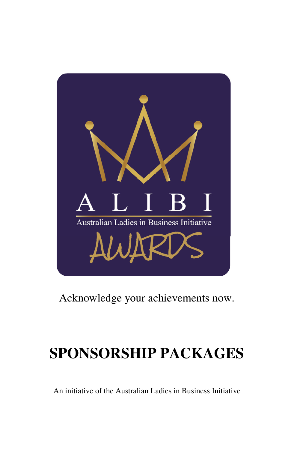

## Acknowledge your achievements now.

## **SPONSORSHIP PACKAGES**

An initiative of the Australian Ladies in Business Initiative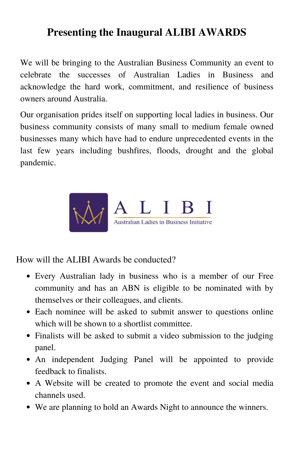## **Presenting the Inaugural ALIBI AWARDS**

We will be bringing to the Australian Business Community an event to celebrate the successes of Australian Ladies in Business and acknowledge the hard work, commitment, and resilience of business owners around Australia.

Our organisation prides itself on supporting local ladies in business. Our business community consists of many small to medium female owned businesses many which have had to endure unprecedented events in the last few years including bushfires, floods, drought and the global pandemic.



How will the ALIBI Awards be conducted?

- Every Australian lady in business who is a member of our Free community and has an ABN is eligible to be nominated with by themselves or their colleagues, and clients.
- Each nominee will be asked to submit answer to questions online which will be shown to a shortlist committee.
- Finalists will be asked to submit a video submission to the judging panel.
- An independent Judging Panel will be appointed to provide feedback to finalists.
- A Website will be created to promote the event and social media channels used.
- We are planning to hold an Awards Night to announce the winners.